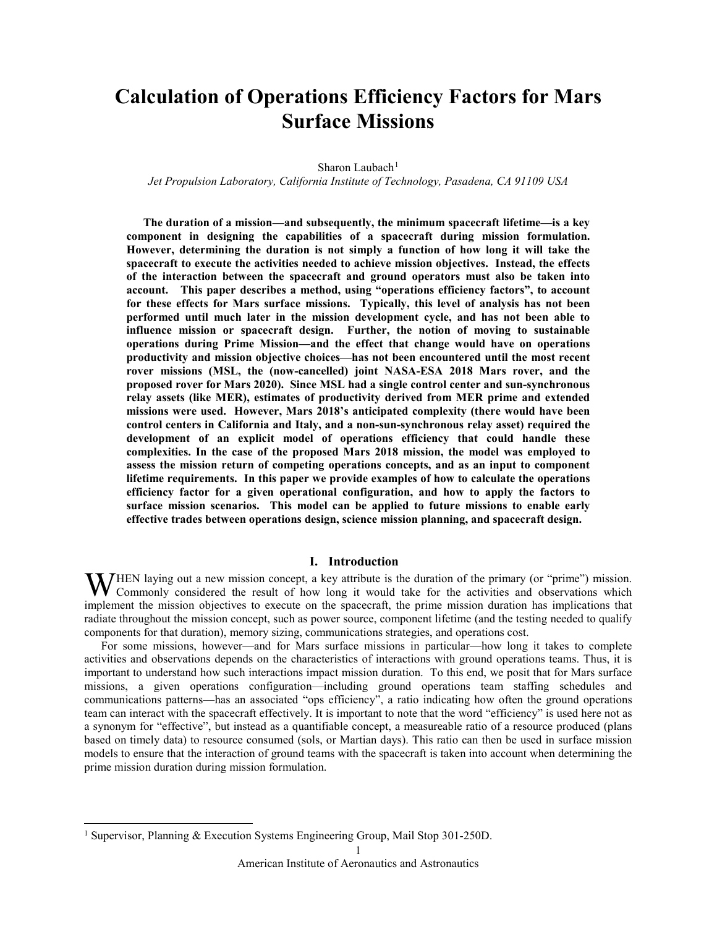# **Calculation of Operations Efficiency Factors for Mars Surface Missions**

Sharon Laubach $<sup>1</sup>$  $<sup>1</sup>$  $<sup>1</sup>$ </sup>

*Jet Propulsion Laboratory, California Institute of Technology, Pasadena, CA 91109 USA*

**The duration of a mission—and subsequently, the minimum spacecraft lifetime—is a key component in designing the capabilities of a spacecraft during mission formulation. However, determining the duration is not simply a function of how long it will take the spacecraft to execute the activities needed to achieve mission objectives. Instead, the effects of the interaction between the spacecraft and ground operators must also be taken into account. This paper describes a method, using "operations efficiency factors", to account for these effects for Mars surface missions. Typically, this level of analysis has not been performed until much later in the mission development cycle, and has not been able to influence mission or spacecraft design. Further, the notion of moving to sustainable operations during Prime Mission—and the effect that change would have on operations productivity and mission objective choices—has not been encountered until the most recent rover missions (MSL, the (now-cancelled) joint NASA-ESA 2018 Mars rover, and the proposed rover for Mars 2020). Since MSL had a single control center and sun-synchronous relay assets (like MER), estimates of productivity derived from MER prime and extended missions were used. However, Mars 2018's anticipated complexity (there would have been control centers in California and Italy, and a non-sun-synchronous relay asset) required the development of an explicit model of operations efficiency that could handle these complexities. In the case of the proposed Mars 2018 mission, the model was employed to assess the mission return of competing operations concepts, and as an input to component lifetime requirements. In this paper we provide examples of how to calculate the operations efficiency factor for a given operational configuration, and how to apply the factors to surface mission scenarios. This model can be applied to future missions to enable early effective trades between operations design, science mission planning, and spacecraft design.**

## **I. Introduction**

WHEN laying out a new mission concept, a key attribute is the duration of the primary (or "prime") mission.<br>Commonly considered the result of how long it would take for the activities and observations which Commonly considered the result of how long it would take for the activities and observations which implement the mission objectives to execute on the spacecraft, the prime mission duration has implications that radiate throughout the mission concept, such as power source, component lifetime (and the testing needed to qualify components for that duration), memory sizing, communications strategies, and operations cost.

For some missions, however—and for Mars surface missions in particular—how long it takes to complete activities and observations depends on the characteristics of interactions with ground operations teams. Thus, it is important to understand how such interactions impact mission duration. To this end, we posit that for Mars surface missions, a given operations configuration—including ground operations team staffing schedules and communications patterns—has an associated "ops efficiency", a ratio indicating how often the ground operations team can interact with the spacecraft effectively. It is important to note that the word "efficiency" is used here not as a synonym for "effective", but instead as a quantifiable concept, a measureable ratio of a resource produced (plans based on timely data) to resource consumed (sols, or Martian days). This ratio can then be used in surface mission models to ensure that the interaction of ground teams with the spacecraft is taken into account when determining the prime mission duration during mission formulation.

 $\overline{a}$ 

<span id="page-0-0"></span><sup>&</sup>lt;sup>1</sup> Supervisor, Planning & Execution Systems Engineering Group, Mail Stop 301-250D.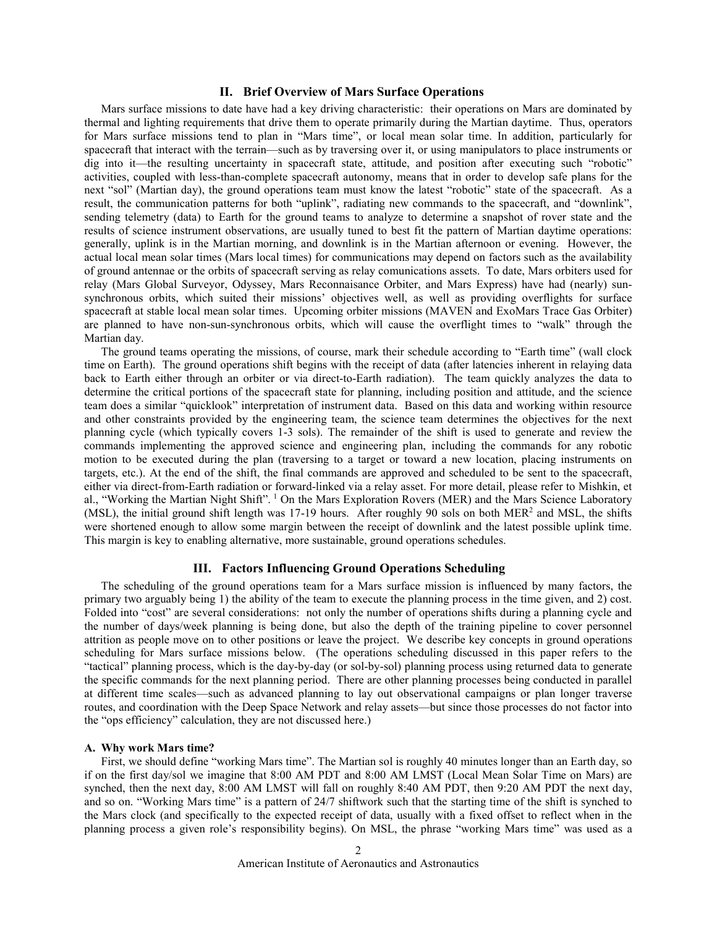## **II. Brief Overview of Mars Surface Operations**

Mars surface missions to date have had a key driving characteristic: their operations on Mars are dominated by thermal and lighting requirements that drive them to operate primarily during the Martian daytime. Thus, operators for Mars surface missions tend to plan in "Mars time", or local mean solar time. In addition, particularly for spacecraft that interact with the terrain—such as by traversing over it, or using manipulators to place instruments or dig into it—the resulting uncertainty in spacecraft state, attitude, and position after executing such "robotic" activities, coupled with less-than-complete spacecraft autonomy, means that in order to develop safe plans for the next "sol" (Martian day), the ground operations team must know the latest "robotic" state of the spacecraft. As a result, the communication patterns for both "uplink", radiating new commands to the spacecraft, and "downlink", sending telemetry (data) to Earth for the ground teams to analyze to determine a snapshot of rover state and the results of science instrument observations, are usually tuned to best fit the pattern of Martian daytime operations: generally, uplink is in the Martian morning, and downlink is in the Martian afternoon or evening. However, the actual local mean solar times (Mars local times) for communications may depend on factors such as the availability of ground antennae or the orbits of spacecraft serving as relay comunications assets. To date, Mars orbiters used for relay (Mars Global Surveyor, Odyssey, Mars Reconnaisance Orbiter, and Mars Express) have had (nearly) sunsynchronous orbits, which suited their missions' objectives well, as well as providing overflights for surface spacecraft at stable local mean solar times. Upcoming orbiter missions (MAVEN and ExoMars Trace Gas Orbiter) are planned to have non-sun-synchronous orbits, which will cause the overflight times to "walk" through the Martian day.

The ground teams operating the missions, of course, mark their schedule according to "Earth time" (wall clock time on Earth). The ground operations shift begins with the receipt of data (after latencies inherent in relaying data back to Earth either through an orbiter or via direct-to-Earth radiation). The team quickly analyzes the data to determine the critical portions of the spacecraft state for planning, including position and attitude, and the science team does a similar "quicklook" interpretation of instrument data. Based on this data and working within resource and other constraints provided by the engineering team, the science team determines the objectives for the next planning cycle (which typically covers 1-3 sols). The remainder of the shift is used to generate and review the commands implementing the approved science and engineering plan, including the commands for any robotic motion to be executed during the plan (traversing to a target or toward a new location, placing instruments on targets, etc.). At the end of the shift, the final commands are approved and scheduled to be sent to the spacecraft, either via direct-from-Earth radiation or forward-linked via a relay asset. For more detail, please refer to Mishkin, et al., "Working the Martian Night Shift". <sup>1</sup> On the Mars Exploration Rovers (MER) and the Mars Science Laboratory (MSL), the initial ground shift length was 17-19 hours. After roughly 90 sols on both MER<sup>2</sup> and MSL, the shifts were shortened enough to allow some margin between the receipt of downlink and the latest possible uplink time. This margin is key to enabling alternative, more sustainable, ground operations schedules.

## **III. Factors Influencing Ground Operations Scheduling**

The scheduling of the ground operations team for a Mars surface mission is influenced by many factors, the primary two arguably being 1) the ability of the team to execute the planning process in the time given, and 2) cost. Folded into "cost" are several considerations: not only the number of operations shifts during a planning cycle and the number of days/week planning is being done, but also the depth of the training pipeline to cover personnel attrition as people move on to other positions or leave the project. We describe key concepts in ground operations scheduling for Mars surface missions below. (The operations scheduling discussed in this paper refers to the "tactical" planning process, which is the day-by-day (or sol-by-sol) planning process using returned data to generate the specific commands for the next planning period. There are other planning processes being conducted in parallel at different time scales—such as advanced planning to lay out observational campaigns or plan longer traverse routes, and coordination with the Deep Space Network and relay assets—but since those processes do not factor into the "ops efficiency" calculation, they are not discussed here.)

# **A. Why work Mars time?**

First, we should define "working Mars time". The Martian sol is roughly 40 minutes longer than an Earth day, so if on the first day/sol we imagine that 8:00 AM PDT and 8:00 AM LMST (Local Mean Solar Time on Mars) are synched, then the next day, 8:00 AM LMST will fall on roughly 8:40 AM PDT, then 9:20 AM PDT the next day, and so on. "Working Mars time" is a pattern of 24/7 shiftwork such that the starting time of the shift is synched to the Mars clock (and specifically to the expected receipt of data, usually with a fixed offset to reflect when in the planning process a given role's responsibility begins). On MSL, the phrase "working Mars time" was used as a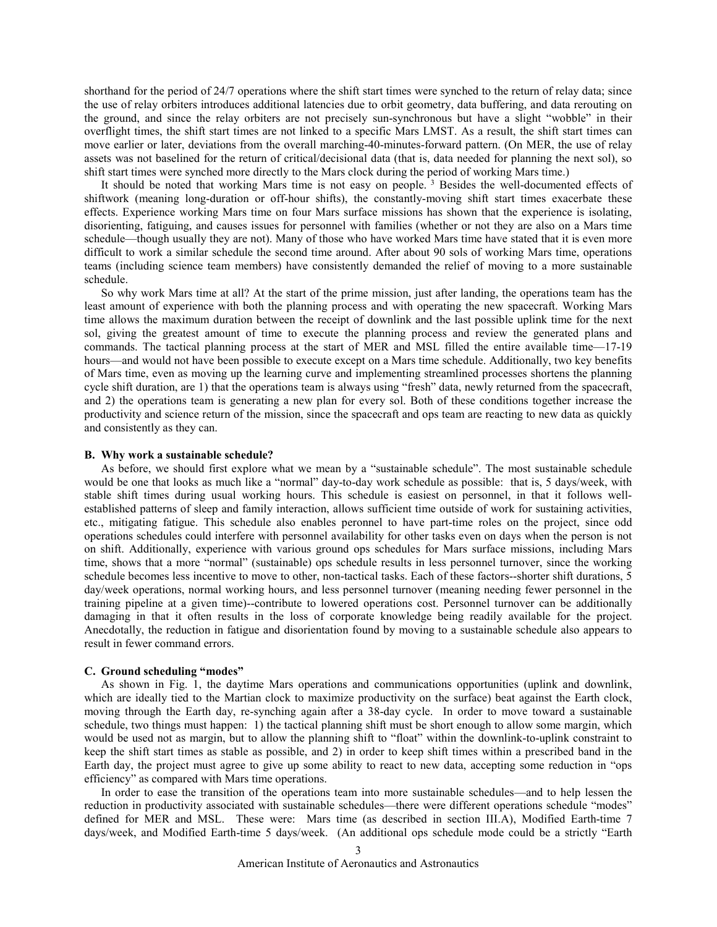shorthand for the period of 24/7 operations where the shift start times were synched to the return of relay data; since the use of relay orbiters introduces additional latencies due to orbit geometry, data buffering, and data rerouting on the ground, and since the relay orbiters are not precisely sun-synchronous but have a slight "wobble" in their overflight times, the shift start times are not linked to a specific Mars LMST. As a result, the shift start times can move earlier or later, deviations from the overall marching-40-minutes-forward pattern. (On MER, the use of relay assets was not baselined for the return of critical/decisional data (that is, data needed for planning the next sol), so shift start times were synched more directly to the Mars clock during the period of working Mars time.)

It should be noted that working Mars time is not easy on people.<sup>3</sup> Besides the well-documented effects of shiftwork (meaning long-duration or off-hour shifts), the constantly-moving shift start times exacerbate these effects. Experience working Mars time on four Mars surface missions has shown that the experience is isolating, disorienting, fatiguing, and causes issues for personnel with families (whether or not they are also on a Mars time schedule—though usually they are not). Many of those who have worked Mars time have stated that it is even more difficult to work a similar schedule the second time around. After about 90 sols of working Mars time, operations teams (including science team members) have consistently demanded the relief of moving to a more sustainable schedule.

So why work Mars time at all? At the start of the prime mission, just after landing, the operations team has the least amount of experience with both the planning process and with operating the new spacecraft. Working Mars time allows the maximum duration between the receipt of downlink and the last possible uplink time for the next sol, giving the greatest amount of time to execute the planning process and review the generated plans and commands. The tactical planning process at the start of MER and MSL filled the entire available time—17-19 hours—and would not have been possible to execute except on a Mars time schedule. Additionally, two key benefits of Mars time, even as moving up the learning curve and implementing streamlined processes shortens the planning cycle shift duration, are 1) that the operations team is always using "fresh" data, newly returned from the spacecraft, and 2) the operations team is generating a new plan for every sol. Both of these conditions together increase the productivity and science return of the mission, since the spacecraft and ops team are reacting to new data as quickly and consistently as they can.

#### **B. Why work a sustainable schedule?**

As before, we should first explore what we mean by a "sustainable schedule". The most sustainable schedule would be one that looks as much like a "normal" day-to-day work schedule as possible: that is, 5 days/week, with stable shift times during usual working hours. This schedule is easiest on personnel, in that it follows wellestablished patterns of sleep and family interaction, allows sufficient time outside of work for sustaining activities, etc., mitigating fatigue. This schedule also enables peronnel to have part-time roles on the project, since odd operations schedules could interfere with personnel availability for other tasks even on days when the person is not on shift. Additionally, experience with various ground ops schedules for Mars surface missions, including Mars time, shows that a more "normal" (sustainable) ops schedule results in less personnel turnover, since the working schedule becomes less incentive to move to other, non-tactical tasks. Each of these factors--shorter shift durations, 5 day/week operations, normal working hours, and less personnel turnover (meaning needing fewer personnel in the training pipeline at a given time)--contribute to lowered operations cost. Personnel turnover can be additionally damaging in that it often results in the loss of corporate knowledge being readily available for the project. Anecdotally, the reduction in fatigue and disorientation found by moving to a sustainable schedule also appears to result in fewer command errors.

### **C. Ground scheduling "modes"**

As shown in Fig. 1, the daytime Mars operations and communications opportunities (uplink and downlink, which are ideally tied to the Martian clock to maximize productivity on the surface) beat against the Earth clock, moving through the Earth day, re-synching again after a 38-day cycle. In order to move toward a sustainable schedule, two things must happen: 1) the tactical planning shift must be short enough to allow some margin, which would be used not as margin, but to allow the planning shift to "float" within the downlink-to-uplink constraint to keep the shift start times as stable as possible, and 2) in order to keep shift times within a prescribed band in the Earth day, the project must agree to give up some ability to react to new data, accepting some reduction in "ops efficiency" as compared with Mars time operations.

In order to ease the transition of the operations team into more sustainable schedules—and to help lessen the reduction in productivity associated with sustainable schedules—there were different operations schedule "modes" defined for MER and MSL. These were: Mars time (as described in section III.A), Modified Earth-time 7 days/week, and Modified Earth-time 5 days/week. (An additional ops schedule mode could be a strictly "Earth"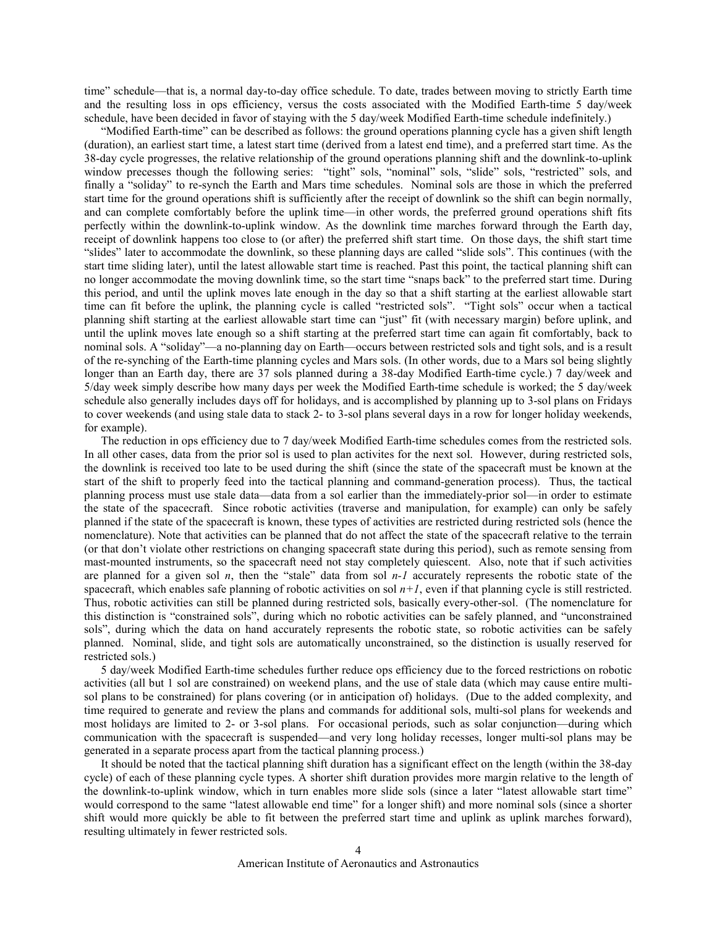time" schedule—that is, a normal day-to-day office schedule. To date, trades between moving to strictly Earth time and the resulting loss in ops efficiency, versus the costs associated with the Modified Earth-time 5 day/week schedule, have been decided in favor of staying with the 5 day/week Modified Earth-time schedule indefinitely.)

"Modified Earth-time" can be described as follows: the ground operations planning cycle has a given shift length (duration), an earliest start time, a latest start time (derived from a latest end time), and a preferred start time. As the 38-day cycle progresses, the relative relationship of the ground operations planning shift and the downlink-to-uplink window precesses though the following series: "tight" sols, "nominal" sols, "slide" sols, "restricted" sols, and finally a "soliday" to re-synch the Earth and Mars time schedules. Nominal sols are those in which the preferred start time for the ground operations shift is sufficiently after the receipt of downlink so the shift can begin normally, and can complete comfortably before the uplink time—in other words, the preferred ground operations shift fits perfectly within the downlink-to-uplink window. As the downlink time marches forward through the Earth day, receipt of downlink happens too close to (or after) the preferred shift start time. On those days, the shift start time "slides" later to accommodate the downlink, so these planning days are called "slide sols". This continues (with the start time sliding later), until the latest allowable start time is reached. Past this point, the tactical planning shift can no longer accommodate the moving downlink time, so the start time "snaps back" to the preferred start time. During this period, and until the uplink moves late enough in the day so that a shift starting at the earliest allowable start time can fit before the uplink, the planning cycle is called "restricted sols". "Tight sols" occur when a tactical planning shift starting at the earliest allowable start time can "just" fit (with necessary margin) before uplink, and until the uplink moves late enough so a shift starting at the preferred start time can again fit comfortably, back to nominal sols. A "soliday"—a no-planning day on Earth—occurs between restricted sols and tight sols, and is a result of the re-synching of the Earth-time planning cycles and Mars sols. (In other words, due to a Mars sol being slightly longer than an Earth day, there are 37 sols planned during a 38-day Modified Earth-time cycle.) 7 day/week and 5/day week simply describe how many days per week the Modified Earth-time schedule is worked; the 5 day/week schedule also generally includes days off for holidays, and is accomplished by planning up to 3-sol plans on Fridays to cover weekends (and using stale data to stack 2- to 3-sol plans several days in a row for longer holiday weekends, for example).

The reduction in ops efficiency due to 7 day/week Modified Earth-time schedules comes from the restricted sols. In all other cases, data from the prior sol is used to plan activites for the next sol. However, during restricted sols, the downlink is received too late to be used during the shift (since the state of the spacecraft must be known at the start of the shift to properly feed into the tactical planning and command-generation process). Thus, the tactical planning process must use stale data—data from a sol earlier than the immediately-prior sol—in order to estimate the state of the spacecraft. Since robotic activities (traverse and manipulation, for example) can only be safely planned if the state of the spacecraft is known, these types of activities are restricted during restricted sols (hence the nomenclature). Note that activities can be planned that do not affect the state of the spacecraft relative to the terrain (or that don't violate other restrictions on changing spacecraft state during this period), such as remote sensing from mast-mounted instruments, so the spacecraft need not stay completely quiescent. Also, note that if such activities are planned for a given sol  $n$ , then the "stale" data from sol  $n-1$  accurately represents the robotic state of the spacecraft, which enables safe planning of robotic activities on sol  $n+1$ , even if that planning cycle is still restricted. Thus, robotic activities can still be planned during restricted sols, basically every-other-sol. (The nomenclature for this distinction is "constrained sols", during which no robotic activities can be safely planned, and "unconstrained sols", during which the data on hand accurately represents the robotic state, so robotic activities can be safely planned. Nominal, slide, and tight sols are automatically unconstrained, so the distinction is usually reserved for restricted sols.)

5 day/week Modified Earth-time schedules further reduce ops efficiency due to the forced restrictions on robotic activities (all but 1 sol are constrained) on weekend plans, and the use of stale data (which may cause entire multisol plans to be constrained) for plans covering (or in anticipation of) holidays. (Due to the added complexity, and time required to generate and review the plans and commands for additional sols, multi-sol plans for weekends and most holidays are limited to 2- or 3-sol plans. For occasional periods, such as solar conjunction—during which communication with the spacecraft is suspended—and very long holiday recesses, longer multi-sol plans may be generated in a separate process apart from the tactical planning process.)

It should be noted that the tactical planning shift duration has a significant effect on the length (within the 38-day cycle) of each of these planning cycle types. A shorter shift duration provides more margin relative to the length of the downlink-to-uplink window, which in turn enables more slide sols (since a later "latest allowable start time" would correspond to the same "latest allowable end time" for a longer shift) and more nominal sols (since a shorter shift would more quickly be able to fit between the preferred start time and uplink as uplink marches forward), resulting ultimately in fewer restricted sols.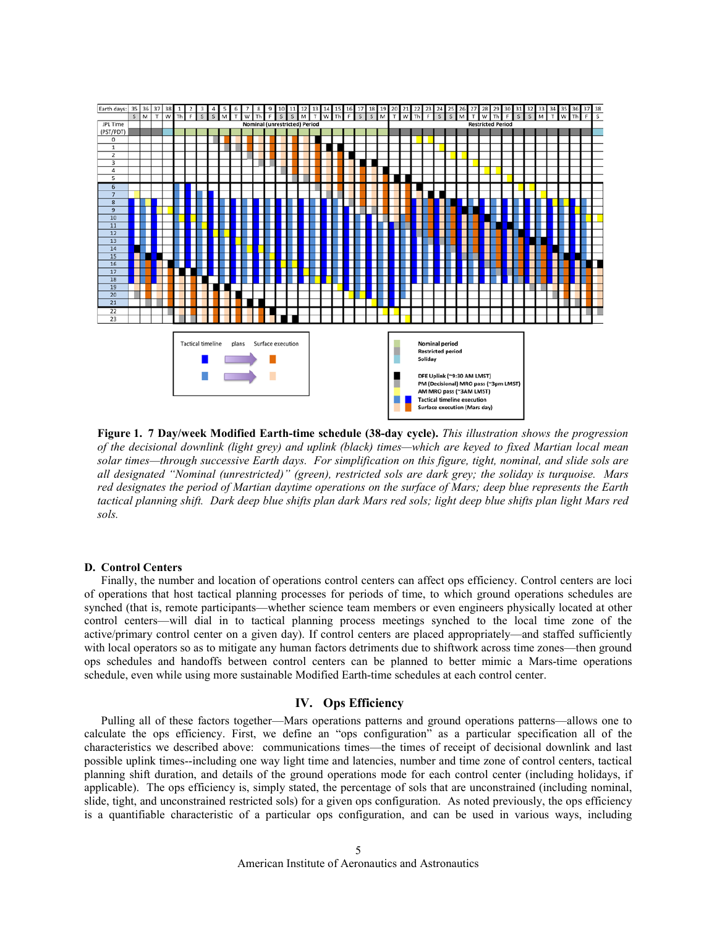

**Figure 1. 7 Day/week Modified Earth-time schedule (38-day cycle).** *This illustration shows the progression of the decisional downlink (light grey) and uplink (black) times—which are keyed to fixed Martian local mean solar times—through successive Earth days. For simplification on this figure, tight, nominal, and slide sols are all designated "Nominal (unrestricted)" (green), restricted sols are dark grey; the soliday is turquoise. Mars red designates the period of Martian daytime operations on the surface of Mars; deep blue represents the Earth tactical planning shift. Dark deep blue shifts plan dark Mars red sols; light deep blue shifts plan light Mars red sols.*

### **D. Control Centers**

Finally, the number and location of operations control centers can affect ops efficiency. Control centers are loci of operations that host tactical planning processes for periods of time, to which ground operations schedules are synched (that is, remote participants—whether science team members or even engineers physically located at other control centers—will dial in to tactical planning process meetings synched to the local time zone of the active/primary control center on a given day). If control centers are placed appropriately—and staffed sufficiently with local operators so as to mitigate any human factors detriments due to shiftwork across time zones—then ground ops schedules and handoffs between control centers can be planned to better mimic a Mars-time operations schedule, even while using more sustainable Modified Earth-time schedules at each control center.

# **IV. Ops Efficiency**

Pulling all of these factors together—Mars operations patterns and ground operations patterns—allows one to calculate the ops efficiency. First, we define an "ops configuration" as a particular specification all of the characteristics we described above: communications times—the times of receipt of decisional downlink and last possible uplink times--including one way light time and latencies, number and time zone of control centers, tactical planning shift duration, and details of the ground operations mode for each control center (including holidays, if applicable). The ops efficiency is, simply stated, the percentage of sols that are unconstrained (including nominal, slide, tight, and unconstrained restricted sols) for a given ops configuration. As noted previously, the ops efficiency is a quantifiable characteristic of a particular ops configuration, and can be used in various ways, including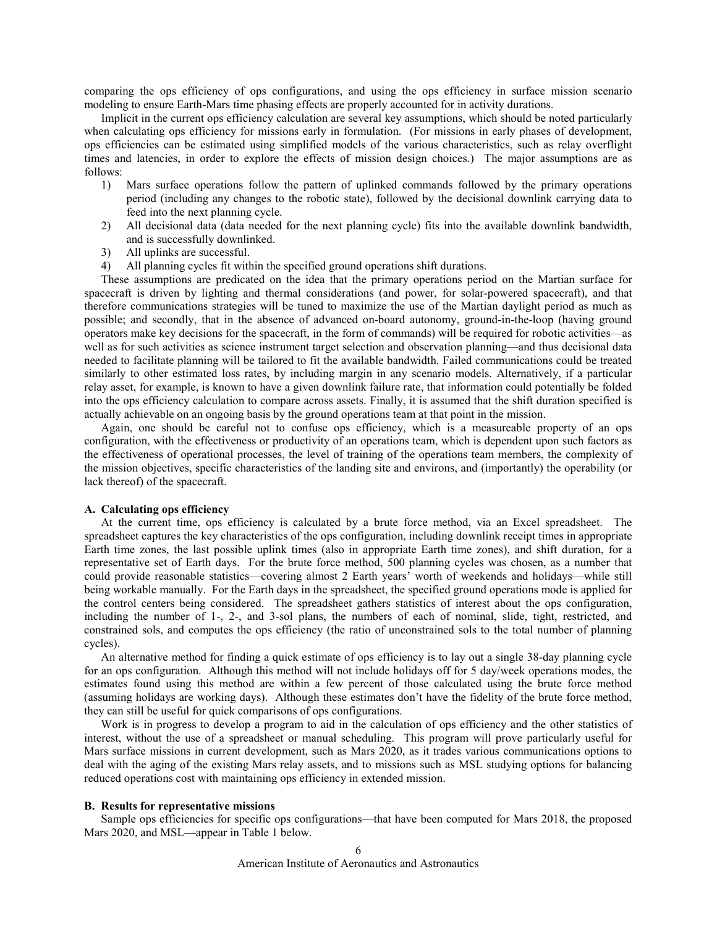comparing the ops efficiency of ops configurations, and using the ops efficiency in surface mission scenario modeling to ensure Earth-Mars time phasing effects are properly accounted for in activity durations.

Implicit in the current ops efficiency calculation are several key assumptions, which should be noted particularly when calculating ops efficiency for missions early in formulation. (For missions in early phases of development, ops efficiencies can be estimated using simplified models of the various characteristics, such as relay overflight times and latencies, in order to explore the effects of mission design choices.) The major assumptions are as follows:

- 1) Mars surface operations follow the pattern of uplinked commands followed by the primary operations period (including any changes to the robotic state), followed by the decisional downlink carrying data to feed into the next planning cycle.
- 2) All decisional data (data needed for the next planning cycle) fits into the available downlink bandwidth, and is successfully downlinked.
- 3) All uplinks are successful.
- 4) All planning cycles fit within the specified ground operations shift durations.

These assumptions are predicated on the idea that the primary operations period on the Martian surface for spacecraft is driven by lighting and thermal considerations (and power, for solar-powered spacecraft), and that therefore communications strategies will be tuned to maximize the use of the Martian daylight period as much as possible; and secondly, that in the absence of advanced on-board autonomy, ground-in-the-loop (having ground operators make key decisions for the spacecraft, in the form of commands) will be required for robotic activities—as well as for such activities as science instrument target selection and observation planning—and thus decisional data needed to facilitate planning will be tailored to fit the available bandwidth. Failed communications could be treated similarly to other estimated loss rates, by including margin in any scenario models. Alternatively, if a particular relay asset, for example, is known to have a given downlink failure rate, that information could potentially be folded into the ops efficiency calculation to compare across assets. Finally, it is assumed that the shift duration specified is actually achievable on an ongoing basis by the ground operations team at that point in the mission.

Again, one should be careful not to confuse ops efficiency, which is a measureable property of an ops configuration, with the effectiveness or productivity of an operations team, which is dependent upon such factors as the effectiveness of operational processes, the level of training of the operations team members, the complexity of the mission objectives, specific characteristics of the landing site and environs, and (importantly) the operability (or lack thereof) of the spacecraft.

## **A. Calculating ops efficiency**

At the current time, ops efficiency is calculated by a brute force method, via an Excel spreadsheet. The spreadsheet captures the key characteristics of the ops configuration, including downlink receipt times in appropriate Earth time zones, the last possible uplink times (also in appropriate Earth time zones), and shift duration, for a representative set of Earth days. For the brute force method, 500 planning cycles was chosen, as a number that could provide reasonable statistics—covering almost 2 Earth years' worth of weekends and holidays—while still being workable manually. For the Earth days in the spreadsheet, the specified ground operations mode is applied for the control centers being considered. The spreadsheet gathers statistics of interest about the ops configuration, including the number of 1-, 2-, and 3-sol plans, the numbers of each of nominal, slide, tight, restricted, and constrained sols, and computes the ops efficiency (the ratio of unconstrained sols to the total number of planning cycles).

An alternative method for finding a quick estimate of ops efficiency is to lay out a single 38-day planning cycle for an ops configuration. Although this method will not include holidays off for 5 day/week operations modes, the estimates found using this method are within a few percent of those calculated using the brute force method (assuming holidays are working days). Although these estimates don't have the fidelity of the brute force method, they can still be useful for quick comparisons of ops configurations.

Work is in progress to develop a program to aid in the calculation of ops efficiency and the other statistics of interest, without the use of a spreadsheet or manual scheduling. This program will prove particularly useful for Mars surface missions in current development, such as Mars 2020, as it trades various communications options to deal with the aging of the existing Mars relay assets, and to missions such as MSL studying options for balancing reduced operations cost with maintaining ops efficiency in extended mission.

#### **B. Results for representative missions**

Sample ops efficiencies for specific ops configurations—that have been computed for Mars 2018, the proposed Mars 2020, and MSL—appear in Table 1 below.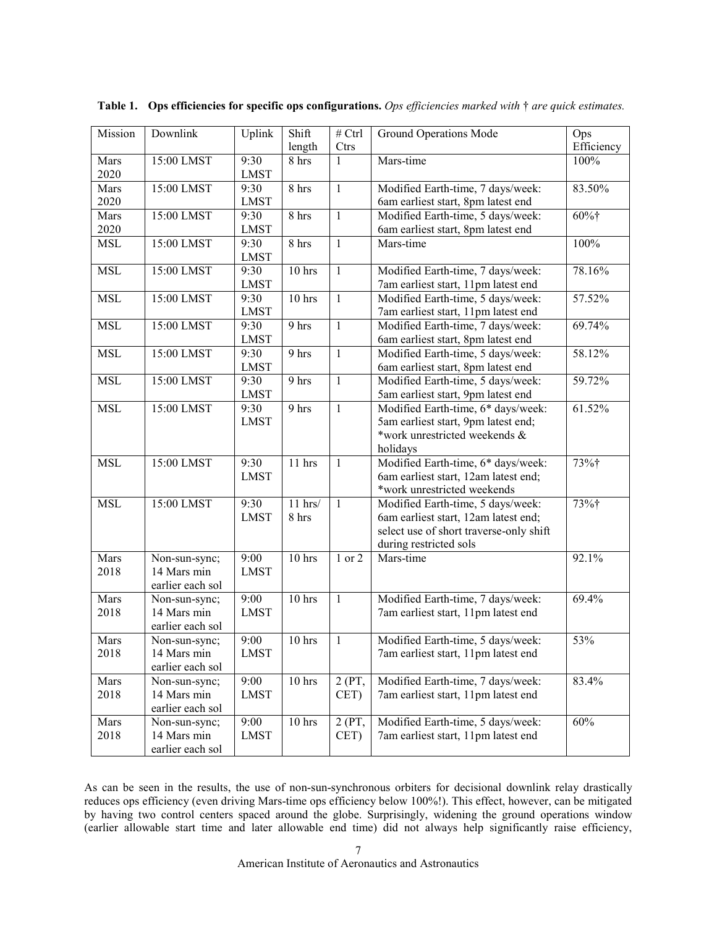| Mission    | Downlink         | Uplink      | Shift                      | $#$ Ctrl       | Ground Operations Mode                  | Ops        |
|------------|------------------|-------------|----------------------------|----------------|-----------------------------------------|------------|
|            |                  |             | length                     | Ctrs           |                                         | Efficiency |
| Mars       | 15:00 LMST       | 9:30        | 8 hrs                      | 1              | Mars-time                               | 100%       |
| 2020       |                  | <b>LMST</b> |                            |                |                                         |            |
| Mars       | 15:00 LMST       | 9:30        | 8 hrs                      | $\mathbf{1}$   | Modified Earth-time, 7 days/week:       | 83.50%     |
| 2020       |                  | <b>LMST</b> |                            |                | 6am earliest start, 8pm latest end      |            |
| Mars       | 15:00 LMST       | 9:30        | 8 hrs                      | $\mathbf{1}$   | Modified Earth-time, 5 days/week:       | $60\%$ †   |
| 2020       |                  | <b>LMST</b> |                            |                | 6am earliest start, 8pm latest end      |            |
| <b>MSL</b> | 15:00 LMST       | 9:30        | 8 hrs                      | $\mathbf{1}$   | Mars-time                               | 100%       |
|            |                  | <b>LMST</b> |                            |                |                                         |            |
| <b>MSL</b> | 15:00 LMST       | 9:30        | $10$ hrs                   | $\mathbf{1}$   | Modified Earth-time, 7 days/week:       | 78.16%     |
|            |                  | <b>LMST</b> |                            |                | 7am earliest start, 11pm latest end     |            |
| <b>MSL</b> | 15:00 LMST       | 9:30        | 10 hrs                     | $\mathbf{1}$   | Modified Earth-time, 5 days/week:       | 57.52%     |
|            |                  | <b>LMST</b> |                            |                | 7am earliest start, 11pm latest end     |            |
| <b>MSL</b> | 15:00 LMST       | 9:30        | $\overline{9 \text{ hrs}}$ | $\overline{1}$ | Modified Earth-time, 7 days/week:       | 69.74%     |
|            |                  | <b>LMST</b> |                            |                | 6am earliest start, 8pm latest end      |            |
| <b>MSL</b> | 15:00 LMST       | 9:30        | 9 hrs                      | $\mathbf{1}$   | Modified Earth-time, 5 days/week:       | 58.12%     |
|            |                  | <b>LMST</b> |                            |                | 6am earliest start, 8pm latest end      |            |
| <b>MSL</b> | 15:00 LMST       | 9:30        | 9 hrs                      | $\mathbf{1}$   | Modified Earth-time, 5 days/week:       | 59.72%     |
|            |                  | <b>LMST</b> |                            |                | 5am earliest start, 9pm latest end      |            |
| <b>MSL</b> | 15:00 LMST       | 9:30        | 9 hrs                      | $\mathbf{1}$   | Modified Earth-time, 6* days/week:      | 61.52%     |
|            |                  | <b>LMST</b> |                            |                | 5am earliest start, 9pm latest end;     |            |
|            |                  |             |                            |                | *work unrestricted weekends &           |            |
|            |                  |             |                            |                | holidays                                |            |
| <b>MSL</b> | 15:00 LMST       | 9:30        | $11$ hrs                   | $\mathbf{1}$   | Modified Earth-time, 6* days/week:      | 73%†       |
|            |                  | <b>LMST</b> |                            |                | 6am earliest start, 12am latest end;    |            |
|            |                  |             |                            |                | *work unrestricted weekends             |            |
| <b>MSL</b> | 15:00 LMST       | 9:30        | $11$ hrs/                  | $\mathbf{1}$   | Modified Earth-time, 5 days/week:       | 73%†       |
|            |                  | <b>LMST</b> | 8 hrs                      |                | 6am earliest start, 12am latest end;    |            |
|            |                  |             |                            |                | select use of short traverse-only shift |            |
|            |                  |             |                            |                | during restricted sols                  |            |
| Mars       | Non-sun-sync;    | 9:00        | $10$ hrs                   | 1 or 2         | Mars-time                               | 92.1%      |
| 2018       | 14 Mars min      | <b>LMST</b> |                            |                |                                         |            |
|            | earlier each sol |             |                            |                |                                         |            |
| Mars       | Non-sun-sync;    | 9:00        | $10$ hrs                   | $\mathbf{1}$   | Modified Earth-time, 7 days/week:       | 69.4%      |
| 2018       |                  | <b>LMST</b> |                            |                |                                         |            |
|            | 14 Mars min      |             |                            |                | 7am earliest start, 11pm latest end     |            |
|            | earlier each sol |             |                            |                |                                         |            |
| Mars       | Non-sun-sync;    | 9:00        | $10$ hrs                   | $\mathbf{1}$   | Modified Earth-time, 5 days/week:       | 53%        |
| 2018       | 14 Mars min      | <b>LMST</b> |                            |                | 7am earliest start, 11pm latest end     |            |
|            | earlier each sol |             |                            |                |                                         |            |
| Mars       | Non-sun-sync;    | 9:00        | $10$ hrs                   | 2 (PT,         | Modified Earth-time, 7 days/week:       | 83.4%      |
| 2018       | 14 Mars min      | <b>LMST</b> |                            | CET)           | 7am earliest start, 11pm latest end     |            |
|            | earlier each sol |             |                            |                |                                         |            |
| Mars       | Non-sun-sync;    | 9:00        | $10\ \mathrm{hrs}$         | 2 (PT,         | Modified Earth-time, 5 days/week:       | 60%        |
| 2018       | 14 Mars min      | <b>LMST</b> |                            | CET)           | 7am earliest start, 11pm latest end     |            |
|            | earlier each sol |             |                            |                |                                         |            |

**Table 1. Ops efficiencies for specific ops configurations.** *Ops efficiencies marked with* † *are quick estimates.*

As can be seen in the results, the use of non-sun-synchronous orbiters for decisional downlink relay drastically reduces ops efficiency (even driving Mars-time ops efficiency below 100%!). This effect, however, can be mitigated by having two control centers spaced around the globe. Surprisingly, widening the ground operations window (earlier allowable start time and later allowable end time) did not always help significantly raise efficiency,